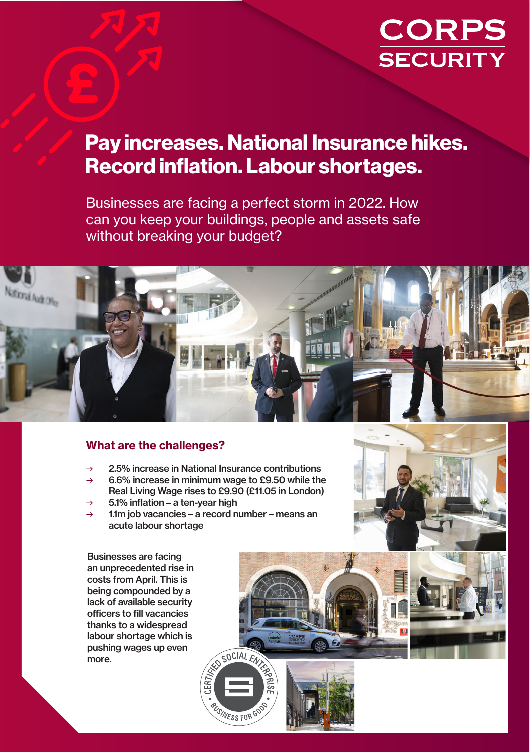## **CORPS SECURITY**

### Pay increases. National Insurance hikes. Record inflation. Labour shortages.

Businesses are facing a perfect storm in 2022. How can you keep your buildings, people and assets safe without breaking your budget?



#### What are the challenges?

- 2.5% increase in National Insurance contributions
- 6.6% increase in minimum wage to £9.50 while the Real Living Wage rises to £9.90 (£11.05 in London)
- $\rightarrow$  5.1% inflation a ten-vear high
- → 1.1m job vacancies a record number means an acute labour shortage

Businesses are facing an unprecedented rise in costs from April. This is being compounded by a lack of available security officers to fill vacancies thanks to a widespread labour shortage which is pushing wages up even more.